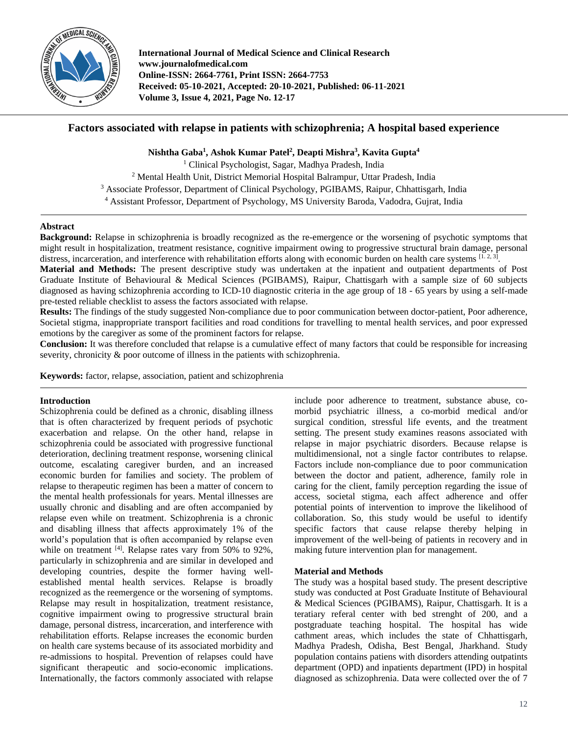

**International Journal of Medical Science and Clinical Research www.journalofmedical.com Online-ISSN: 2664-7761, Print ISSN: 2664-7753 Received: 05-10-2021, Accepted: 20-10-2021, Published: 06-11-2021 Volume 3, Issue 4, 2021, Page No. 12-17**

# **Factors associated with relapse in patients with schizophrenia; A hospital based experience**

**Nishtha Gaba<sup>1</sup> , Ashok Kumar Patel<sup>2</sup> , Deapti Mishra<sup>3</sup> , Kavita Gupta<sup>4</sup>**

<sup>1</sup> Clinical Psychologist, Sagar, Madhya Pradesh, India

<sup>2</sup> Mental Health Unit, District Memorial Hospital Balrampur, Uttar Pradesh, India

<sup>3</sup> Associate Professor, Department of Clinical Psychology, PGIBAMS, Raipur, Chhattisgarh, India

<sup>4</sup> Assistant Professor, Department of Psychology, MS University Baroda, Vadodra, Gujrat, India

## **Abstract**

**Background:** Relapse in schizophrenia is broadly recognized as the re-emergence or the worsening of psychotic symptoms that might result in hospitalization, treatment resistance, cognitive impairment owing to progressive structural brain damage, personal distress, incarceration, and interference with rehabilitation efforts along with economic burden on health care systems [1.2,3].

**Material and Methods:** The present descriptive study was undertaken at the inpatient and outpatient departments of Post Graduate Institute of Behavioural & Medical Sciences (PGIBAMS), Raipur, Chattisgarh with a sample size of 60 subjects diagnosed as having schizophrenia according to ICD-10 diagnostic criteria in the age group of 18 - 65 years by using a self-made pre-tested reliable checklist to assess the factors associated with relapse.

**Results:** The findings of the study suggested Non-compliance due to poor communication between doctor-patient, Poor adherence, Societal stigma, inappropriate transport facilities and road conditions for travelling to mental health services, and poor expressed emotions by the caregiver as some of the prominent factors for relapse.

**Conclusion:** It was therefore concluded that relapse is a cumulative effect of many factors that could be responsible for increasing severity, chronicity  $\&$  poor outcome of illness in the patients with schizophrenia.

**Keywords:** factor, relapse, association, patient and schizophrenia

### **Introduction**

Schizophrenia could be defined as a chronic, disabling illness that is often characterized by frequent periods of psychotic exacerbation and relapse. On the other hand, relapse in schizophrenia could be associated with progressive functional deterioration, declining treatment response, worsening clinical outcome, escalating caregiver burden, and an increased economic burden for families and society. The problem of relapse to therapeutic regimen has been a matter of concern to the mental health professionals for years. Mental illnesses are usually chronic and disabling and are often accompanied by relapse even while on treatment. Schizophrenia is a chronic and disabling illness that affects approximately 1% of the world's population that is often accompanied by relapse even while on treatment <sup>[4]</sup>. Relapse rates vary from 50% to 92%, particularly in schizophrenia and are similar in developed and developing countries, despite the former having wellestablished mental health services. Relapse is broadly recognized as the reemergence or the worsening of symptoms. Relapse may result in hospitalization, treatment resistance, cognitive impairment owing to progressive structural brain damage, personal distress, incarceration, and interference with rehabilitation efforts. Relapse increases the economic burden on health care systems because of its associated morbidity and re-admissions to hospital. Prevention of relapses could have significant therapeutic and socio-economic implications. Internationally, the factors commonly associated with relapse

include poor adherence to treatment, substance abuse, comorbid psychiatric illness, a co-morbid medical and/or surgical condition, stressful life events, and the treatment setting. The present study examines reasons associated with relapse in major psychiatric disorders. Because relapse is multidimensional, not a single factor contributes to relapse. Factors include non-compliance due to poor communication between the doctor and patient, adherence, family role in caring for the client, family perception regarding the issue of access, societal stigma, each affect adherence and offer potential points of intervention to improve the likelihood of collaboration. So, this study would be useful to identify specific factors that cause relapse thereby helping in improvement of the well-being of patients in recovery and in making future intervention plan for management.

### **Material and Methods**

The study was a hospital based study. The present descriptive study was conducted at Post Graduate Institute of Behavioural & Medical Sciences (PGIBAMS), Raipur, Chattisgarh. It is a teratiary referal center with bed strenght of 200, and a postgraduate teaching hospital. The hospital has wide cathment areas, which includes the state of Chhattisgarh, Madhya Pradesh, Odisha, Best Bengal, Jharkhand. Study population contains patiens with disorders attending outpatints department (OPD) and inpatients department (IPD) in hospital diagnosed as schizophrenia. Data were collected over the of 7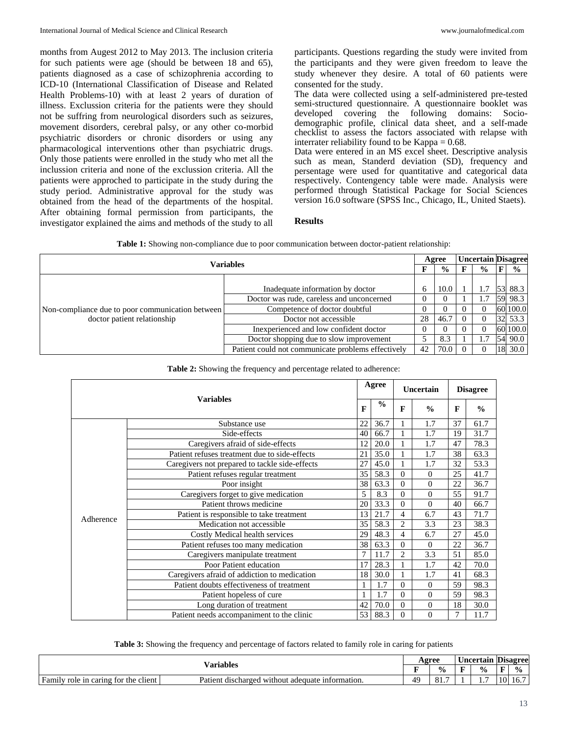months from Augest 2012 to May 2013. The inclusion criteria for such patients were age (should be between 18 and 65), patients diagnosed as a case of schizophrenia according to ICD-10 (International Classification of Disease and Related Health Problems-10) with at least 2 years of duration of illness. Exclussion criteria for the patients were they should not be suffring from neurological disorders such as seizures, movement disorders, cerebral palsy, or any other co-morbid psychiatric disorders or chronic disorders or using any pharmacological interventions other than psychiatric drugs. Only those patients were enrolled in the study who met all the inclussion criteria and none of the exclussion criteria. All the patients were approched to participate in the study during the study period. Administrative approval for the study was obtained from the head of the departments of the hospital. After obtaining formal permission from participants, the investigator explained the aims and methods of the study to all participants. Questions regarding the study were invited from the participants and they were given freedom to leave the study whenever they desire. A total of 60 patients were consented for the study.

The data were collected using a self-administered pre-tested semi-structured questionnaire. A questionnaire booklet was developed covering the following domains: Sociodemographic profile, clinical data sheet, and a self-made checklist to assess the factors associated with relapse with interrater reliability found to be Kappa  $= 0.68$ .

Data were entered in an MS excel sheet. Descriptive analysis such as mean, Standerd deviation (SD), frequency and persentage were used for quantitative and categorical data respectively. Contengency table were made. Analysis were performed through Statistical Package for Social Sciences version 16.0 software (SPSS Inc., Chicago, IL, United Staets).

### **Results**

| Variables                                                                       |                                                    |    | Agree          |  |               | <b>Uncertain Disagree</b> |  |
|---------------------------------------------------------------------------------|----------------------------------------------------|----|----------------|--|---------------|---------------------------|--|
|                                                                                 |                                                    |    | $\frac{6}{10}$ |  | $\frac{6}{9}$ | $\frac{0}{0}$             |  |
|                                                                                 |                                                    |    |                |  |               |                           |  |
| Non-compliance due to poor communication between<br>doctor patient relationship | Inadequate information by doctor                   | 6  | 10.0           |  |               | 53 88.3                   |  |
|                                                                                 | Doctor was rude, careless and unconcerned          |    |                |  | 1.7           | 59 98.3                   |  |
|                                                                                 | Competence of doctor doubtful                      |    |                |  |               | 60 100.0                  |  |
|                                                                                 | Doctor not accessible                              | 28 | 46.7           |  |               | 32 53.3                   |  |
|                                                                                 | Inexperienced and low confident doctor             |    |                |  |               | 60 100.0                  |  |
|                                                                                 | Doctor shopping due to slow improvement            |    | 8.3            |  | 1.7           | 54 90.0                   |  |
|                                                                                 | Patient could not communicate problems effectively | 42 | 70.0           |  |               | 18 30.0                   |  |

#### **Table 2:** Showing the frequency and percentage related to adherence:

|           |                                                |    | Agree         |                | <b>Uncertain</b> | <b>Disagree</b> |               |  |
|-----------|------------------------------------------------|----|---------------|----------------|------------------|-----------------|---------------|--|
|           | <b>Variables</b>                               | F  | $\frac{0}{0}$ | F              | $\frac{0}{0}$    | $\mathbf{F}$    | $\frac{0}{0}$ |  |
|           | Substance use                                  | 22 | 36.7          |                | 1.7              | 37              | 61.7          |  |
|           | Side-effects                                   | 40 | 66.7          |                | 1.7              | 19              | 31.7          |  |
|           | Caregivers afraid of side-effects              | 12 | 20.0          |                | 1.7              | 47              | 78.3          |  |
|           | Patient refuses treatment due to side-effects  | 21 | 35.0          | 1              | 1.7              | 38              | 63.3          |  |
|           | Caregivers not prepared to tackle side-effects | 27 | 45.0          | 1              | 1.7              | 32              | 53.3          |  |
|           | Patient refuses regular treatment              | 35 | 58.3          | $\Omega$       | $\Omega$         | 25              | 41.7          |  |
|           | Poor insight                                   | 38 | 63.3          | $\Omega$       | $\Omega$         | 22              | 36.7          |  |
|           | Caregivers forget to give medication           | 5  | 8.3           | $\Omega$       | $\Omega$         | 55              | 91.7          |  |
|           | Patient throws medicine                        | 20 | 33.3          | $\Omega$       | $\Omega$         | 40              | 66.7          |  |
| Adherence | Patient is responsible to take treatment       | 13 | 21.7          | $\overline{4}$ | 6.7              | 43              | 71.7          |  |
|           | Medication not accessible                      | 35 | 58.3          | $\overline{2}$ | 3.3              | 23              | 38.3          |  |
|           | Costly Medical health services                 | 29 | 48.3          | $\overline{4}$ | 6.7              | 27              | 45.0          |  |
|           | Patient refuses too many medication            | 38 | 63.3          | $\mathbf{0}$   | $\Omega$         | 22              | 36.7          |  |
|           | Caregivers manipulate treatment                | 7  | 11.7          | $\overline{c}$ | 3.3              | 51              | 85.0          |  |
|           | Poor Patient education                         | 17 | 28.3          | 1              | 1.7              | 42              | 70.0          |  |
|           | Caregivers afraid of addiction to medication   | 18 | 30.0          | 1              | 1.7              | 41              | 68.3          |  |
|           | Patient doubts effectiveness of treatment      |    | 1.7           | $\mathbf{0}$   | $\Omega$         | 59              | 98.3          |  |
|           | Patient hopeless of cure                       |    | 1.7           | $\Omega$       | $\Omega$         | 59              | 98.3          |  |
|           | Long duration of treatment                     | 42 | 70.0          | $\Omega$       | $\Omega$         | 18              | 30.0          |  |
|           | Patient needs accompaniment to the clinic      | 53 | 88.3          | $\Omega$       | $\Omega$         | 7               | 11.7          |  |

**Table 3:** Showing the frequency and percentage of factors related to family role in caring for patients

| ⁄ ariables                                                                     |                                                                    |    | Agree         | <b>Jncertain</b> | $\sim$<br><b>Disagree</b> |              |
|--------------------------------------------------------------------------------|--------------------------------------------------------------------|----|---------------|------------------|---------------------------|--------------|
|                                                                                |                                                                    |    | $\frac{0}{0}$ | $\frac{0}{0}$    | ю                         | $\mathbf{0}$ |
| $\blacksquare$<br>$\cdot$ .<br>Famıly<br>the client '<br>role in caring<br>tor | Patient<br>: discharged<br>ı without.<br>information.<br>∷adequate | 40 | ↗<br>         | .                | 1 V                       | 10.          |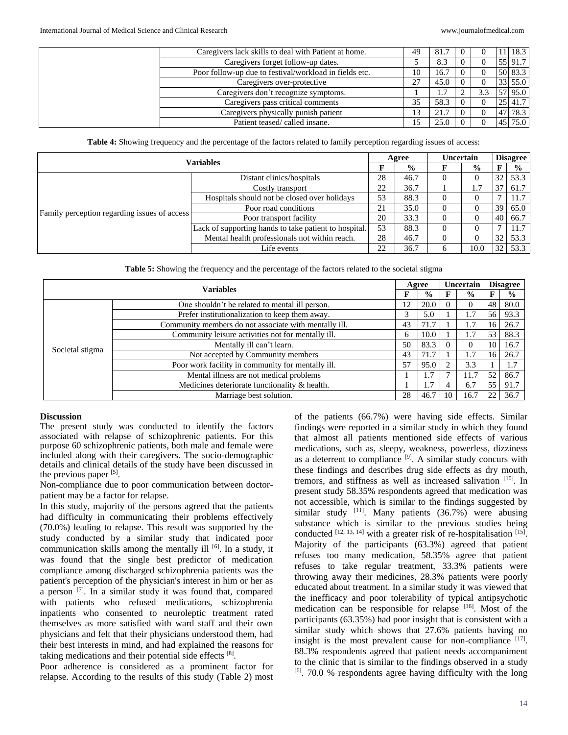| Caregivers lack skills to deal with Patient at home.   | 49 | 81.7  | - ( ) |     |       | 18.3    |
|--------------------------------------------------------|----|-------|-------|-----|-------|---------|
| Caregivers forget follow-up dates.                     |    | 8.3   |       |     |       | 55 91.7 |
| Poor follow-up due to festival/workload in fields etc. | 10 | 16.7  |       |     |       | 50 83.3 |
| Caregivers over-protective                             |    | 45.0  |       |     |       | 33 55.0 |
| Caregivers don't recognize symptoms.                   |    | . . 7 |       | 3.3 |       | 57 95.0 |
| Caregivers pass critical comments                      | 35 | 58.3  |       |     |       | 25 41.7 |
| Caregivers physically punish patient                   | 13 | 21.7  |       |     | $-47$ | 78.3    |
| Patient teased/called insane.                          |    | 25.0  |       |     |       | 75.0    |

**Table 4:** Showing frequency and the percentage of the factors related to family perception regarding issues of access:

| <b>Variables</b>                             |                                                       |    | Agree         | Uncertain |               | <b>Disagree</b> |               |  |
|----------------------------------------------|-------------------------------------------------------|----|---------------|-----------|---------------|-----------------|---------------|--|
|                                              |                                                       | F  | $\frac{0}{0}$ |           | $\frac{0}{0}$ | F               | $\frac{6}{6}$ |  |
| Family perception regarding issues of access | Distant clinics/hospitals                             | 28 | 46.7          |           |               | 32              | 53.3          |  |
|                                              | Costly transport                                      | 22 | 36.7          |           | 1.7           | 37              | 61.7          |  |
|                                              | Hospitals should not be closed over holidays          | 53 | 88.3          |           |               |                 | 11.7          |  |
|                                              | Poor road conditions                                  | 21 | 35.0          |           |               | 39              | 65.0          |  |
|                                              | Poor transport facility                               | 20 | 33.3          |           |               | 40              | 66.7          |  |
|                                              | Lack of supporting hands to take patient to hospital. | 53 | 88.3          |           |               |                 | 11.7          |  |
|                                              | Mental health professionals not within reach.         | 28 | 46.7          |           |               | 32              | 53.3          |  |
|                                              | Life events                                           | 22 | 36.7          | 6         | 10.0          | 32              | 53.3          |  |

**Table 5:** Showing the frequency and the percentage of the factors related to the societal stigma

| <b>Variables</b> |                                                       |    | Agree         |          | Uncertain     |    | <b>Disagree</b> |
|------------------|-------------------------------------------------------|----|---------------|----------|---------------|----|-----------------|
|                  |                                                       |    | $\frac{0}{0}$ |          | $\frac{0}{0}$ | F  | $\frac{0}{0}$   |
|                  | One shouldn't be related to mental ill person.        | 12 | 20.0          |          | 0             | 48 | 80.0            |
|                  | Prefer institutionalization to keep them away.        | 3  | 5.0           |          | 1.7           | 56 | 93.3            |
| Societal stigma  | Community members do not associate with mentally ill. | 43 | 71.7          |          | 1.7           | 16 | 26.7            |
|                  | Community leisure activities not for mentally ill.    | 6  | 10.0          |          | 1.7           | 53 | 88.3            |
|                  | Mentally ill can't learn.                             | 50 | 83.3          | $\Omega$ | 0             | 10 | 16.7            |
|                  | Not accepted by Community members                     | 43 | 71.7          |          | 1.7           | 16 | 26.7            |
|                  | Poor work facility in community for mentally ill.     | 57 | 95.0          |          | 3.3           |    | 1.7             |
|                  | Mental illness are not medical problems               |    | 1.7           |          | 11.7          | 52 | 86.7            |
|                  | Medicines deteriorate functionality & health.         |    | 1.7           |          | 6.7           | 55 | 91.7            |
|                  | Marriage best solution.                               | 28 | 46.7          | 10       | 16.7          | 22 | 36.7            |

#### **Discussion**

The present study was conducted to identify the factors associated with relapse of schizophrenic patients. For this purpose 60 schizophrenic patients, both male and female were included along with their caregivers. The socio-demographic details and clinical details of the study have been discussed in the previous paper  $[5]$ .

Non-compliance due to poor communication between doctorpatient may be a factor for relapse.

In this study, majority of the persons agreed that the patients had difficulty in communicating their problems effectively (70.0%) leading to relapse. This result was supported by the study conducted by a similar study that indicated poor communication skills among the mentally ill [6]. In a study, it was found that the single best predictor of medication compliance among discharged schizophrenia patients was the patient's perception of the physician's interest in him or her as a person [7]. In a similar study it was found that, compared with patients who refused medications, schizophrenia inpatients who consented to neuroleptic treatment rated themselves as more satisfied with ward staff and their own physicians and felt that their physicians understood them, had their best interests in mind, and had explained the reasons for taking medications and their potential side effects [8].

Poor adherence is considered as a prominent factor for relapse. According to the results of this study (Table 2) most of the patients (66.7%) were having side effects. Similar findings were reported in a similar study in which they found that almost all patients mentioned side effects of various medications, such as, sleepy, weakness, powerless, dizziness as a deterrent to compliance  $[9]$ . A similar study concurs with these findings and describes drug side effects as dry mouth, tremors, and stiffness as well as increased salivation [10]. In present study 58.35% respondents agreed that medication was not accessible, which is similar to the findings suggested by similar study  $[11]$ . Many patients (36.7%) were abusing substance which is similar to the previous studies being conducted  $[12, 13, 14]$  with a greater risk of re-hospitalisation  $[15]$ . Majority of the participants (63.3%) agreed that patient refuses too many medication, 58.35% agree that patient refuses to take regular treatment, 33.3% patients were throwing away their medicines, 28.3% patients were poorly educated about treatment. In a similar study it was viewed that the inefficacy and poor tolerability of typical antipsychotic medication can be responsible for relapse [16]. Most of the participants (63.35%) had poor insight that is consistent with a similar study which shows that 27.6% patients having no insight is the most prevalent cause for non-compliance  $[17]$ . 88.3% respondents agreed that patient needs accompaniment to the clinic that is similar to the findings observed in a study [6]. 70.0 % respondents agree having difficulty with the long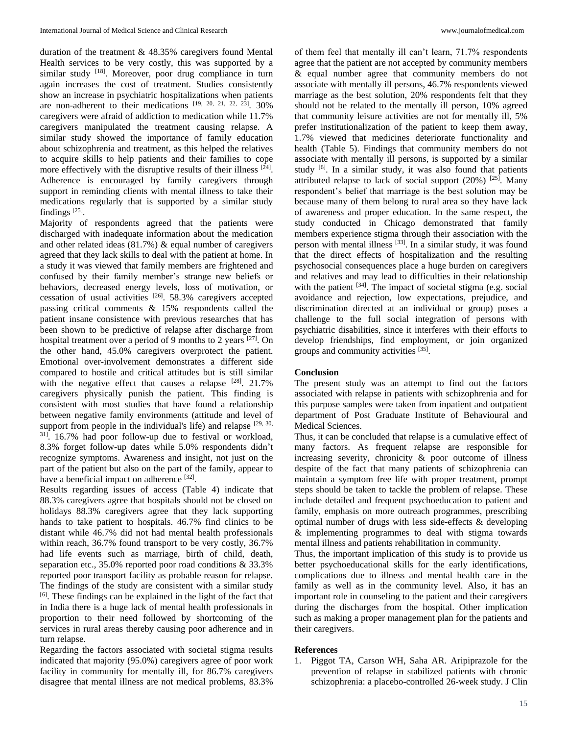duration of the treatment & 48.35% caregivers found Mental Health services to be very costly, this was supported by a similar study <sup>[18]</sup>. Moreover, poor drug compliance in turn again increases the cost of treatment. Studies consistently show an increase in psychiatric hospitalizations when patients are non-adherent to their medications  $[19, 20, 21, 22, 23]$ . 30% caregivers were afraid of addiction to medication while 11.7% caregivers manipulated the treatment causing relapse. A similar study showed the importance of family education about schizophrenia and treatment, as this helped the relatives to acquire skills to help patients and their families to cope more effectively with the disruptive results of their illness [24]. Adherence is encouraged by family caregivers through support in reminding clients with mental illness to take their medications regularly that is supported by a similar study findings<sup>[25]</sup>.

Majority of respondents agreed that the patients were discharged with inadequate information about the medication and other related ideas (81.7%) & equal number of caregivers agreed that they lack skills to deal with the patient at home. In a study it was viewed that family members are frightened and confused by their family member's strange new beliefs or behaviors, decreased energy levels, loss of motivation, or cessation of usual activities [26]. 58.3% caregivers accepted passing critical comments & 15% respondents called the patient insane consistence with previous researches that has been shown to be predictive of relapse after discharge from hospital treatment over a period of 9 months to 2 years <sup>[27]</sup>. On the other hand, 45.0% caregivers overprotect the patient. Emotional over-involvement demonstrates a different side compared to hostile and critical attitudes but is still similar with the negative effect that causes a relapse  $[28]$ . 21.7% caregivers physically punish the patient. This finding is consistent with most studies that have found a relationship between negative family environments (attitude and level of support from people in the individual's life) and relapse  $[29, 30, 30]$ 31]. 16.7% had poor follow-up due to festival or workload, 8.3% forget follow-up dates while 5.0% respondents didn't recognize symptoms. Awareness and insight, not just on the part of the patient but also on the part of the family, appear to have a beneficial impact on adherence [32].

Results regarding issues of access (Table 4) indicate that 88.3% caregivers agree that hospitals should not be closed on holidays 88.3% caregivers agree that they lack supporting hands to take patient to hospitals. 46.7% find clinics to be distant while 46.7% did not had mental health professionals within reach, 36.7% found transport to be very costly, 36.7% had life events such as marriage, birth of child, death, separation etc., 35.0% reported poor road conditions & 33.3% reported poor transport facility as probable reason for relapse. The findings of the study are consistent with a similar study [6]. These findings can be explained in the light of the fact that in India there is a huge lack of mental health professionals in proportion to their need followed by shortcoming of the services in rural areas thereby causing poor adherence and in turn relapse.

Regarding the factors associated with societal stigma results indicated that majority (95.0%) caregivers agree of poor work facility in community for mentally ill, for 86.7% caregivers disagree that mental illness are not medical problems, 83.3%

of them feel that mentally ill can't learn, 71.7% respondents agree that the patient are not accepted by community members & equal number agree that community members do not associate with mentally ill persons, 46.7% respondents viewed marriage as the best solution, 20% respondents felt that they should not be related to the mentally ill person, 10% agreed that community leisure activities are not for mentally ill, 5% prefer institutionalization of the patient to keep them away, 1.7% viewed that medicines deteriorate functionality and health (Table 5). Findings that community members do not associate with mentally ill persons, is supported by a similar study [6]. In a similar study, it was also found that patients attributed relapse to lack of social support  $(20\%)$  [25]. Many respondent's belief that marriage is the best solution may be because many of them belong to rural area so they have lack of awareness and proper education. In the same respect, the study conducted in Chicago demonstrated that family members experience stigma through their association with the person with mental illness [33]. In a similar study, it was found that the direct effects of hospitalization and the resulting psychosocial consequences place a huge burden on caregivers and relatives and may lead to difficulties in their relationship with the patient <sup>[34]</sup>. The impact of societal stigma (e.g. social avoidance and rejection, low expectations, prejudice, and discrimination directed at an individual or group) poses a challenge to the full social integration of persons with psychiatric disabilities, since it interferes with their efforts to develop friendships, find employment, or join organized groups and community activities [35].

## **Conclusion**

The present study was an attempt to find out the factors associated with relapse in patients with schizophrenia and for this purpose samples were taken from inpatient and outpatient department of Post Graduate Institute of Behavioural and Medical Sciences.

Thus, it can be concluded that relapse is a cumulative effect of many factors. As frequent relapse are responsible for increasing severity, chronicity & poor outcome of illness despite of the fact that many patients of schizophrenia can maintain a symptom free life with proper treatment, prompt steps should be taken to tackle the problem of relapse. These include detailed and frequent psychoeducation to patient and family, emphasis on more outreach programmes, prescribing optimal number of drugs with less side-effects & developing & implementing programmes to deal with stigma towards mental illness and patients rehabilitation in community.

Thus, the important implication of this study is to provide us better psychoeducational skills for the early identifications, complications due to illness and mental health care in the family as well as in the community level. Also, it has an important role in counseling to the patient and their caregivers during the discharges from the hospital. Other implication such as making a proper management plan for the patients and their caregivers.

### **References**

1. Piggot TA, Carson WH, Saha AR. Aripiprazole for the prevention of relapse in stabilized patients with chronic schizophrenia: a placebo-controlled 26-week study. J Clin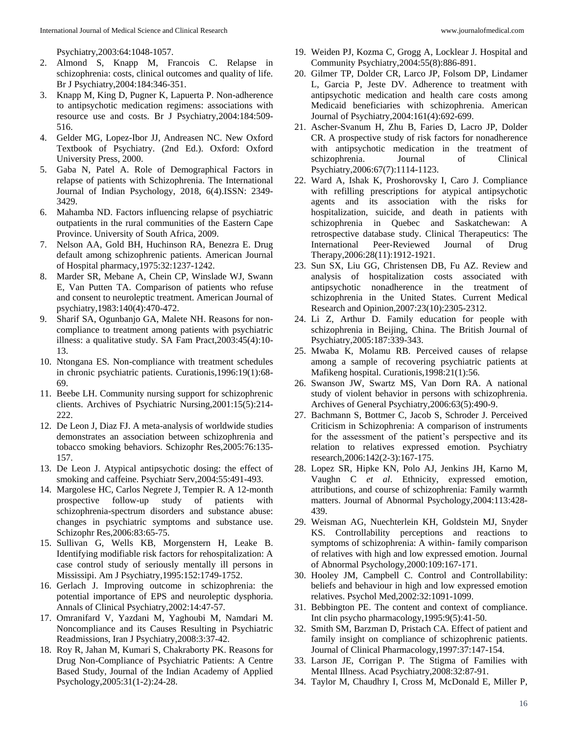Psychiatry,2003:64:1048-1057.

- 2. Almond S, Knapp M, Francois C. Relapse in schizophrenia: costs, clinical outcomes and quality of life. Br J Psychiatry,2004:184:346-351.
- 3. Knapp M, King D, Pugner K, Lapuerta P. Non-adherence to antipsychotic medication regimens: associations with resource use and costs. Br J Psychiatry,2004:184:509- 516.
- 4. Gelder MG, Lopez-Ibor JJ, Andreasen NC. New Oxford Textbook of Psychiatry. (2nd Ed.). Oxford: Oxford University Press, 2000.
- 5. Gaba N, Patel A. Role of Demographical Factors in relapse of patients with Schizophrenia. The International Journal of Indian Psychology, 2018, 6(4).ISSN: 2349- 3429.
- 6. Mahamba ND. Factors influencing relapse of psychiatric outpatients in the rural communities of the Eastern Cape Province. University of South Africa, 2009.
- 7. Nelson AA, Gold BH, Huchinson RA, Benezra E. Drug default among schizophrenic patients. American Journal of Hospital pharmacy,1975:32:1237-1242.
- 8. Marder SR, Mebane A, Chein CP, Winslade WJ, Swann E, Van Putten TA. Comparison of patients who refuse and consent to neuroleptic treatment. American Journal of psychiatry,1983:140(4):470-472.
- 9. Sharif SA, Ogunbanjo GA, Malete NH. Reasons for noncompliance to treatment among patients with psychiatric illness: a qualitative study. SA Fam Pract,2003:45(4):10- 13.
- 10. Ntongana ES. Non-compliance with treatment schedules in chronic psychiatric patients. Curationis,1996:19(1):68- 69.
- 11. Beebe LH. Community nursing support for schizophrenic clients. Archives of Psychiatric Nursing,2001:15(5):214- 222.
- 12. De Leon J, Diaz FJ. A meta-analysis of worldwide studies demonstrates an association between schizophrenia and tobacco smoking behaviors. Schizophr Res,2005:76:135- 157.
- 13. De Leon J. Atypical antipsychotic dosing: the effect of smoking and caffeine. Psychiatr Serv,2004:55:491-493.
- 14. Margolese HC, Carlos Negrete J, Tempier R. A 12-month prospective follow-up study of patients with schizophrenia-spectrum disorders and substance abuse: changes in psychiatric symptoms and substance use. Schizophr Res,2006:83:65-75.
- 15. Sullivan G, Wells KB, Morgenstern H, Leake B. Identifying modifiable risk factors for rehospitalization: A case control study of seriously mentally ill persons in Mississipi. Am J Psychiatry,1995:152:1749-1752.
- 16. Gerlach J. Improving outcome in schizophrenia: the potential importance of EPS and neuroleptic dysphoria. Annals of Clinical Psychiatry,2002:14:47-57.
- 17. Omranifard V, Yazdani M, Yaghoubi M, Namdari M. Noncompliance and its Causes Resulting in Psychiatric Readmissions, Iran J Psychiatry,2008:3:37-42.
- 18. Roy R, Jahan M, Kumari S, Chakraborty PK. Reasons for Drug Non-Compliance of Psychiatric Patients: A Centre Based Study, Journal of the Indian Academy of Applied Psychology,2005:31(1-2):24-28.
- 19. Weiden PJ, Kozma C, Grogg A, Locklear J. Hospital and Community Psychiatry,2004:55(8):886-891.
- 20. Gilmer TP, Dolder CR, Larco JP, Folsom DP, Lindamer L, Garcia P, Jeste DV. Adherence to treatment with antipsychotic medication and health care costs among Medicaid beneficiaries with schizophrenia. American Journal of Psychiatry,2004:161(4):692-699.
- 21. Ascher-Svanum H, Zhu B, Faries D, Lacro JP, Dolder CR. A prospective study of risk factors for nonadherence with antipsychotic medication in the treatment of schizophrenia. Journal of Clinical Psychiatry,2006:67(7):1114-1123.
- 22. Ward A, Ishak K, Proshorovsky I, Caro J. Compliance with refilling prescriptions for atypical antipsychotic agents and its association with the risks for hospitalization, suicide, and death in patients with schizophrenia in Quebec and Saskatchewan: A retrospective database study. Clinical Therapeutics: The International Peer-Reviewed Journal of Drug Therapy,2006:28(11):1912-1921.
- 23. Sun SX, Liu GG, Christensen DB, Fu AZ. Review and analysis of hospitalization costs associated with antipsychotic nonadherence in the treatment of schizophrenia in the United States. Current Medical Research and Opinion,2007:23(10):2305-2312.
- 24. Li Z, Arthur D. Family education for people with schizophrenia in Beijing, China. The British Journal of Psychiatry,2005:187:339-343.
- 25. Mwaba K, Molamu RB. Perceived causes of relapse among a sample of recovering psychiatric patients at Mafikeng hospital. Curationis,1998:21(1):56.
- 26. Swanson JW, Swartz MS, Van Dorn RA. A national study of violent behavior in persons with schizophrenia. Archives of General Psychiatry,2006:63(5):490-9.
- 27. Bachmann S, Bottmer C, Jacob S, Schroder J. Perceived Criticism in Schizophrenia: A comparison of instruments for the assessment of the patient's perspective and its relation to relatives expressed emotion. Psychiatry research,2006:142(2-3):167-175.
- 28. Lopez SR, Hipke KN, Polo AJ, Jenkins JH, Karno M, Vaughn C *et al*. Ethnicity, expressed emotion, attributions, and course of schizophrenia: Family warmth matters. Journal of Abnormal Psychology,2004:113:428- 439.
- 29. Weisman AG, Nuechterlein KH, Goldstein MJ, Snyder KS. Controllability perceptions and reactions to symptoms of schizophrenia: A within- family comparison of relatives with high and low expressed emotion. Journal of Abnormal Psychology,2000:109:167-171.
- 30. Hooley JM, Campbell C. Control and Controllability: beliefs and behaviour in high and low expressed emotion relatives. Psychol Med,2002:32:1091-1099.
- 31. Bebbington PE. The content and context of compliance. Int clin psycho pharmacology,1995:9(5):41-50.
- 32. Smith SM, Barzman D, Pristach CA. Effect of patient and family insight on compliance of schizophrenic patients. Journal of Clinical Pharmacology,1997:37:147-154.
- 33. Larson JE, Corrigan P. The Stigma of Families with Mental Illness. Acad Psychiatry,2008:32:87-91.
- 34. Taylor M, Chaudhry I, Cross M, McDonald E, Miller P,